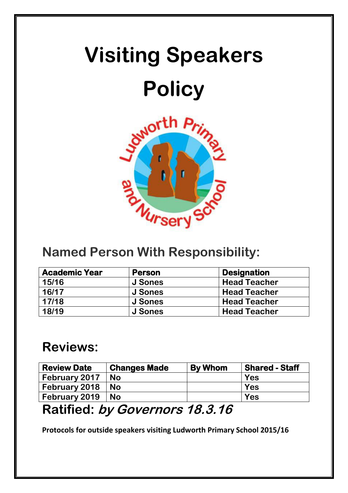# **Visiting Speakers Policy**



### **Named Person With Responsibility:**

| <b>Academic Year</b> | <b>Person</b> | <b>Designation</b>  |  |
|----------------------|---------------|---------------------|--|
| 15/16                | J Sones       | <b>Head Teacher</b> |  |
| 16/17                | J Sones       | <b>Head Teacher</b> |  |
| 17/18                | J Sones       | <b>Head Teacher</b> |  |
| 18/19                | J Sones       | <b>Head Teacher</b> |  |

## **Reviews:**

| <b>Review Date</b> | <b>Changes Made</b> | <b>By Whom</b> | <b>Shared - Staff</b> |
|--------------------|---------------------|----------------|-----------------------|
| February 2017      | <b>No</b>           |                | <b>Yes</b>            |
| February 2018      | <b>No</b>           |                | Yes                   |
| February 2019      | <b>No</b>           |                | <b>Yes</b>            |

## **Ratified: by Governors 18.3.16**

**Protocols for outside speakers visiting Ludworth Primary School 2015/16**